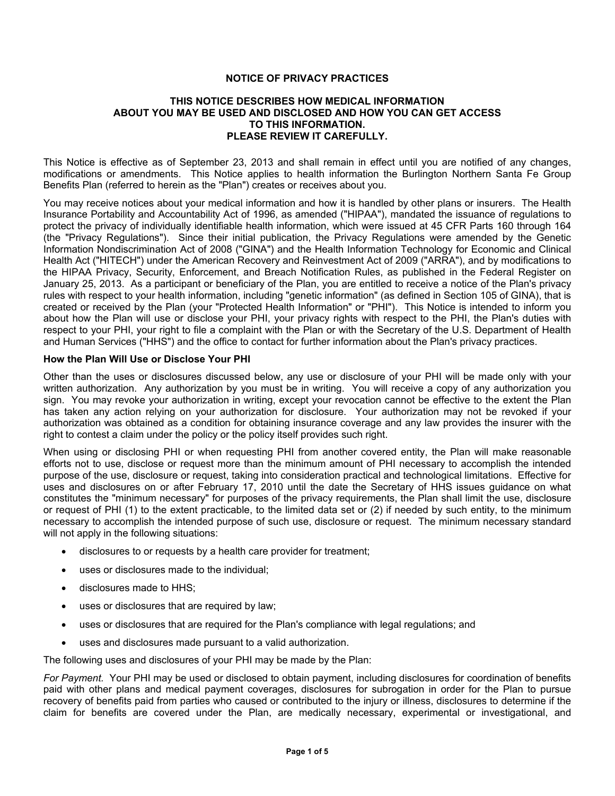## **NOTICE OF PRIVACY PRACTICES**

#### **THIS NOTICE DESCRIBES HOW MEDICAL INFORMATION ABOUT YOU MAY BE USED AND DISCLOSED AND HOW YOU CAN GET ACCESS TO THIS INFORMATION. PLEASE REVIEW IT CAREFULLY.**

This Notice is effective as of September 23, 2013 and shall remain in effect until you are notified of any changes, modifications or amendments. This Notice applies to health information the Burlington Northern Santa Fe Group Benefits Plan (referred to herein as the "Plan") creates or receives about you.

You may receive notices about your medical information and how it is handled by other plans or insurers. The Health Insurance Portability and Accountability Act of 1996, as amended ("HIPAA"), mandated the issuance of regulations to protect the privacy of individually identifiable health information, which were issued at 45 CFR Parts 160 through 164 (the "Privacy Regulations"). Since their initial publication, the Privacy Regulations were amended by the Genetic Information Nondiscrimination Act of 2008 ("GINA") and the Health Information Technology for Economic and Clinical Health Act ("HITECH") under the American Recovery and Reinvestment Act of 2009 ("ARRA"), and by modifications to the HIPAA Privacy, Security, Enforcement, and Breach Notification Rules, as published in the Federal Register on January 25, 2013. As a participant or beneficiary of the Plan, you are entitled to receive a notice of the Plan's privacy rules with respect to your health information, including "genetic information" (as defined in Section 105 of GINA), that is created or received by the Plan (your "Protected Health Information" or "PHI"). This Notice is intended to inform you about how the Plan will use or disclose your PHI, your privacy rights with respect to the PHI, the Plan's duties with respect to your PHI, your right to file a complaint with the Plan or with the Secretary of the U.S. Department of Health and Human Services ("HHS") and the office to contact for further information about the Plan's privacy practices.

#### **How the Plan Will Use or Disclose Your PHI**

Other than the uses or disclosures discussed below, any use or disclosure of your PHI will be made only with your written authorization. Any authorization by you must be in writing. You will receive a copy of any authorization you sign. You may revoke your authorization in writing, except your revocation cannot be effective to the extent the Plan has taken any action relying on your authorization for disclosure. Your authorization may not be revoked if your authorization was obtained as a condition for obtaining insurance coverage and any law provides the insurer with the right to contest a claim under the policy or the policy itself provides such right.

When using or disclosing PHI or when requesting PHI from another covered entity, the Plan will make reasonable efforts not to use, disclose or request more than the minimum amount of PHI necessary to accomplish the intended purpose of the use, disclosure or request, taking into consideration practical and technological limitations. Effective for uses and disclosures on or after February 17, 2010 until the date the Secretary of HHS issues guidance on what constitutes the "minimum necessary" for purposes of the privacy requirements, the Plan shall limit the use, disclosure or request of PHI (1) to the extent practicable, to the limited data set or (2) if needed by such entity, to the minimum necessary to accomplish the intended purpose of such use, disclosure or request. The minimum necessary standard will not apply in the following situations:

- disclosures to or requests by a health care provider for treatment;
- uses or disclosures made to the individual;
- disclosures made to HHS;
- uses or disclosures that are required by law;
- uses or disclosures that are required for the Plan's compliance with legal regulations; and
- uses and disclosures made pursuant to a valid authorization.

The following uses and disclosures of your PHI may be made by the Plan:

*For Payment.* Your PHI may be used or disclosed to obtain payment, including disclosures for coordination of benefits paid with other plans and medical payment coverages, disclosures for subrogation in order for the Plan to pursue recovery of benefits paid from parties who caused or contributed to the injury or illness, disclosures to determine if the claim for benefits are covered under the Plan, are medically necessary, experimental or investigational, and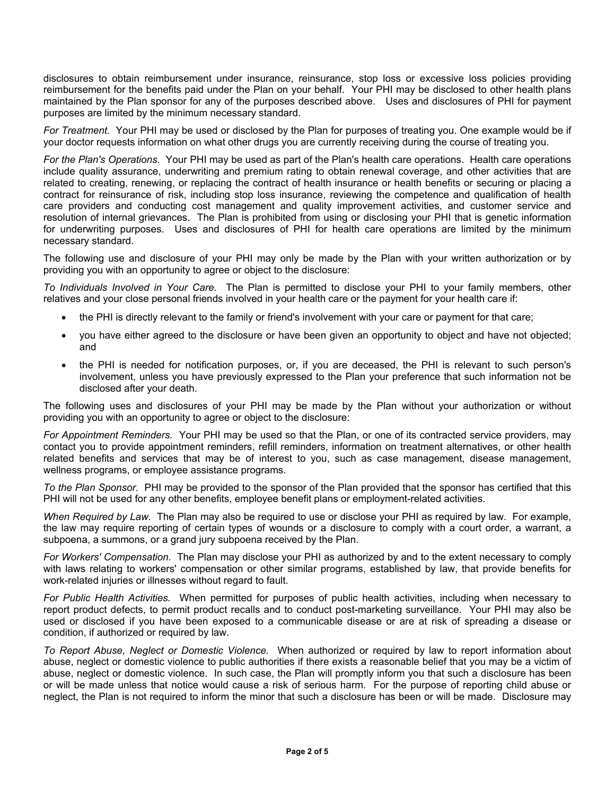disclosures to obtain reimbursement under insurance, reinsurance, stop loss or excessive loss policies providing reimbursement for the benefits paid under the Plan on your behalf. Your PHI may be disclosed to other health plans maintained by the Plan sponsor for any of the purposes described above. Uses and disclosures of PHI for payment purposes are limited by the minimum necessary standard.

*For Treatment.* Your PHI may be used or disclosed by the Plan for purposes of treating you. One example would be if your doctor requests information on what other drugs you are currently receiving during the course of treating you.

*For the Plan's Operations.* Your PHI may be used as part of the Plan's health care operations. Health care operations include quality assurance, underwriting and premium rating to obtain renewal coverage, and other activities that are related to creating, renewing, or replacing the contract of health insurance or health benefits or securing or placing a contract for reinsurance of risk, including stop loss insurance, reviewing the competence and qualification of health care providers and conducting cost management and quality improvement activities, and customer service and resolution of internal grievances. The Plan is prohibited from using or disclosing your PHI that is genetic information for underwriting purposes. Uses and disclosures of PHI for health care operations are limited by the minimum necessary standard.

The following use and disclosure of your PHI may only be made by the Plan with your written authorization or by providing you with an opportunity to agree or object to the disclosure:

*To Individuals Involved in Your Care.* The Plan is permitted to disclose your PHI to your family members, other relatives and your close personal friends involved in your health care or the payment for your health care if:

- the PHI is directly relevant to the family or friend's involvement with your care or payment for that care;
- you have either agreed to the disclosure or have been given an opportunity to object and have not objected; and
- the PHI is needed for notification purposes, or, if you are deceased, the PHI is relevant to such person's involvement, unless you have previously expressed to the Plan your preference that such information not be disclosed after your death.

The following uses and disclosures of your PHI may be made by the Plan without your authorization or without providing you with an opportunity to agree or object to the disclosure:

*For Appointment Reminders.* Your PHI may be used so that the Plan, or one of its contracted service providers, may contact you to provide appointment reminders, refill reminders, information on treatment alternatives, or other health related benefits and services that may be of interest to you, such as case management, disease management, wellness programs, or employee assistance programs.

*To the Plan Sponsor.* PHI may be provided to the sponsor of the Plan provided that the sponsor has certified that this PHI will not be used for any other benefits, employee benefit plans or employment-related activities.

*When Required by Law.* The Plan may also be required to use or disclose your PHI as required by law. For example, the law may require reporting of certain types of wounds or a disclosure to comply with a court order, a warrant, a subpoena, a summons, or a grand jury subpoena received by the Plan.

*For Workers' Compensation.* The Plan may disclose your PHI as authorized by and to the extent necessary to comply with laws relating to workers' compensation or other similar programs, established by law, that provide benefits for work-related injuries or illnesses without regard to fault.

*For Public Health Activities.* When permitted for purposes of public health activities, including when necessary to report product defects, to permit product recalls and to conduct post-marketing surveillance. Your PHI may also be used or disclosed if you have been exposed to a communicable disease or are at risk of spreading a disease or condition, if authorized or required by law.

*To Report Abuse, Neglect or Domestic Violence.* When authorized or required by law to report information about abuse, neglect or domestic violence to public authorities if there exists a reasonable belief that you may be a victim of abuse, neglect or domestic violence. In such case, the Plan will promptly inform you that such a disclosure has been or will be made unless that notice would cause a risk of serious harm. For the purpose of reporting child abuse or neglect, the Plan is not required to inform the minor that such a disclosure has been or will be made. Disclosure may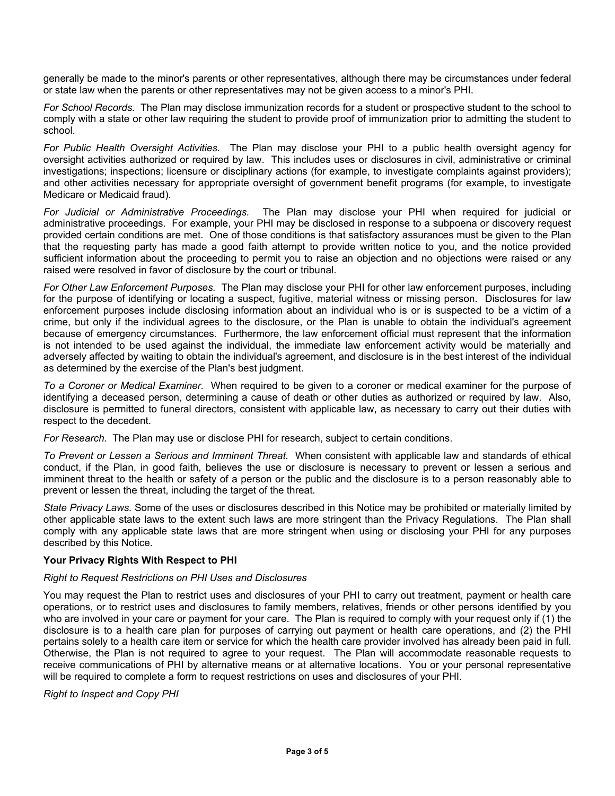generally be made to the minor's parents or other representatives, although there may be circumstances under federal or state law when the parents or other representatives may not be given access to a minor's PHI.

*For School Records.* The Plan may disclose immunization records for a student or prospective student to the school to comply with a state or other law requiring the student to provide proof of immunization prior to admitting the student to school.

*For Public Health Oversight Activities.* The Plan may disclose your PHI to a public health oversight agency for oversight activities authorized or required by law. This includes uses or disclosures in civil, administrative or criminal investigations; inspections; licensure or disciplinary actions (for example, to investigate complaints against providers); and other activities necessary for appropriate oversight of government benefit programs (for example, to investigate Medicare or Medicaid fraud).

*For Judicial or Administrative Proceedings.* The Plan may disclose your PHI when required for judicial or administrative proceedings. For example, your PHI may be disclosed in response to a subpoena or discovery request provided certain conditions are met. One of those conditions is that satisfactory assurances must be given to the Plan that the requesting party has made a good faith attempt to provide written notice to you, and the notice provided sufficient information about the proceeding to permit you to raise an objection and no objections were raised or any raised were resolved in favor of disclosure by the court or tribunal.

*For Other Law Enforcement Purposes.* The Plan may disclose your PHI for other law enforcement purposes, including for the purpose of identifying or locating a suspect, fugitive, material witness or missing person. Disclosures for law enforcement purposes include disclosing information about an individual who is or is suspected to be a victim of a crime, but only if the individual agrees to the disclosure, or the Plan is unable to obtain the individual's agreement because of emergency circumstances. Furthermore, the law enforcement official must represent that the information is not intended to be used against the individual, the immediate law enforcement activity would be materially and adversely affected by waiting to obtain the individual's agreement, and disclosure is in the best interest of the individual as determined by the exercise of the Plan's best judgment.

*To a Coroner or Medical Examiner.* When required to be given to a coroner or medical examiner for the purpose of identifying a deceased person, determining a cause of death or other duties as authorized or required by law. Also, disclosure is permitted to funeral directors, consistent with applicable law, as necessary to carry out their duties with respect to the decedent.

*For Research.* The Plan may use or disclose PHI for research, subject to certain conditions.

*To Prevent or Lessen a Serious and Imminent Threat.* When consistent with applicable law and standards of ethical conduct, if the Plan, in good faith, believes the use or disclosure is necessary to prevent or lessen a serious and imminent threat to the health or safety of a person or the public and the disclosure is to a person reasonably able to prevent or lessen the threat, including the target of the threat.

*State Privacy Laws.* Some of the uses or disclosures described in this Notice may be prohibited or materially limited by other applicable state laws to the extent such laws are more stringent than the Privacy Regulations. The Plan shall comply with any applicable state laws that are more stringent when using or disclosing your PHI for any purposes described by this Notice.

## **Your Privacy Rights With Respect to PHI**

#### *Right to Request Restrictions on PHI Uses and Disclosures*

You may request the Plan to restrict uses and disclosures of your PHI to carry out treatment, payment or health care operations, or to restrict uses and disclosures to family members, relatives, friends or other persons identified by you who are involved in your care or payment for your care. The Plan is required to comply with your request only if (1) the disclosure is to a health care plan for purposes of carrying out payment or health care operations, and (2) the PHI pertains solely to a health care item or service for which the health care provider involved has already been paid in full. Otherwise, the Plan is not required to agree to your request. The Plan will accommodate reasonable requests to receive communications of PHI by alternative means or at alternative locations. You or your personal representative will be required to complete a form to request restrictions on uses and disclosures of your PHI.

## *Right to Inspect and Copy PHI*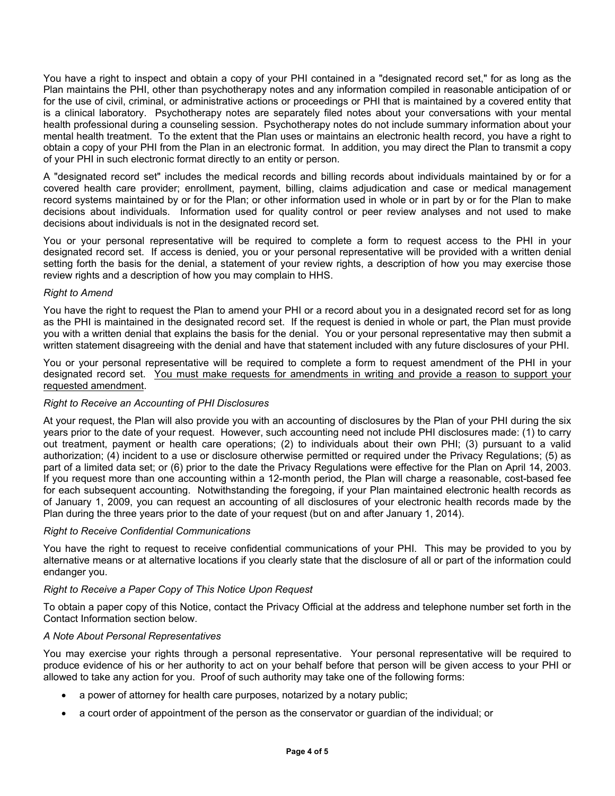You have a right to inspect and obtain a copy of your PHI contained in a "designated record set," for as long as the Plan maintains the PHI, other than psychotherapy notes and any information compiled in reasonable anticipation of or for the use of civil, criminal, or administrative actions or proceedings or PHI that is maintained by a covered entity that is a clinical laboratory. Psychotherapy notes are separately filed notes about your conversations with your mental health professional during a counseling session. Psychotherapy notes do not include summary information about your mental health treatment. To the extent that the Plan uses or maintains an electronic health record, you have a right to obtain a copy of your PHI from the Plan in an electronic format. In addition, you may direct the Plan to transmit a copy of your PHI in such electronic format directly to an entity or person.

A "designated record set" includes the medical records and billing records about individuals maintained by or for a covered health care provider; enrollment, payment, billing, claims adjudication and case or medical management record systems maintained by or for the Plan; or other information used in whole or in part by or for the Plan to make decisions about individuals. Information used for quality control or peer review analyses and not used to make decisions about individuals is not in the designated record set.

You or your personal representative will be required to complete a form to request access to the PHI in your designated record set. If access is denied, you or your personal representative will be provided with a written denial setting forth the basis for the denial, a statement of your review rights, a description of how you may exercise those review rights and a description of how you may complain to HHS.

## *Right to Amend*

You have the right to request the Plan to amend your PHI or a record about you in a designated record set for as long as the PHI is maintained in the designated record set. If the request is denied in whole or part, the Plan must provide you with a written denial that explains the basis for the denial. You or your personal representative may then submit a written statement disagreeing with the denial and have that statement included with any future disclosures of your PHI.

You or your personal representative will be required to complete a form to request amendment of the PHI in your designated record set. You must make requests for amendments in writing and provide a reason to support your requested amendment.

## *Right to Receive an Accounting of PHI Disclosures*

At your request, the Plan will also provide you with an accounting of disclosures by the Plan of your PHI during the six years prior to the date of your request. However, such accounting need not include PHI disclosures made: (1) to carry out treatment, payment or health care operations; (2) to individuals about their own PHI; (3) pursuant to a valid authorization; (4) incident to a use or disclosure otherwise permitted or required under the Privacy Regulations; (5) as part of a limited data set; or (6) prior to the date the Privacy Regulations were effective for the Plan on April 14, 2003. If you request more than one accounting within a 12-month period, the Plan will charge a reasonable, cost-based fee for each subsequent accounting. Notwithstanding the foregoing, if your Plan maintained electronic health records as of January 1, 2009, you can request an accounting of all disclosures of your electronic health records made by the Plan during the three years prior to the date of your request (but on and after January 1, 2014).

## *Right to Receive Confidential Communications*

You have the right to request to receive confidential communications of your PHI. This may be provided to you by alternative means or at alternative locations if you clearly state that the disclosure of all or part of the information could endanger you.

# *Right to Receive a Paper Copy of This Notice Upon Request*

To obtain a paper copy of this Notice, contact the Privacy Official at the address and telephone number set forth in the Contact Information section below.

## *A Note About Personal Representatives*

You may exercise your rights through a personal representative. Your personal representative will be required to produce evidence of his or her authority to act on your behalf before that person will be given access to your PHI or allowed to take any action for you. Proof of such authority may take one of the following forms:

- a power of attorney for health care purposes, notarized by a notary public;
- a court order of appointment of the person as the conservator or guardian of the individual; or